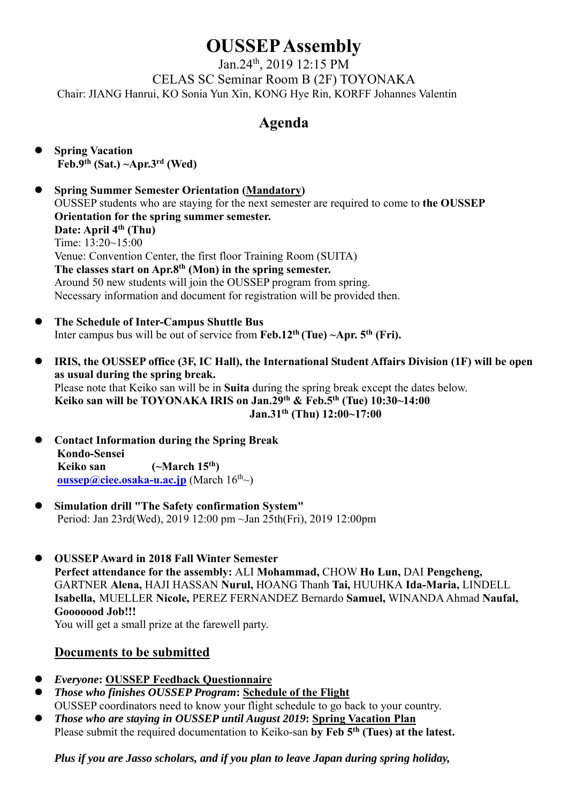# **OUSSEP Assembly**

Jan.24th, 2019 12:15 PM CELAS SC Seminar Room B (2F) TOYONAKA Chair: JIANG Hanrui, KO Sonia Yun Xin, KONG Hye Rin, KORFF Johannes Valentin

# **Agenda**

- **Spring Vacation Feb.9th (Sat.) ~Apr.3rd (Wed)**
- **Spring Summer Semester Orientation (Mandatory)** OUSSEP students who are staying for the next semester are required to come to **the OUSSEP Orientation for the spring summer semester.**  Date: April 4<sup>th</sup> (Thu) Time: 13:20~15:00 Venue: Convention Center, the first floor Training Room (SUITA) The classes start on Apr.8<sup>th</sup> (Mon) in the spring semester. Around 50 new students will join the OUSSEP program from spring. Necessary information and document for registration will be provided then.
- **The Schedule of Inter-Campus Shuttle Bus** Inter campus bus will be out of service from **Feb.12th (Tue) ~Apr. 5th (Fri).**
- **IRIS, the OUSSEP office (3F, IC Hall), the International Student Affairs Division (1F) will be open as usual during the spring break.**  Please note that Keiko san will be in **Suita** during the spring break except the dates below. **Keiko san will be TOYONAKA IRIS on Jan.29th & Feb.5th (Tue) 10:30~14:00 Jan.31th (Thu) 12:00~17:00**
- **Contact Information during the Spring Break Kondo-Sensei Keiko san (~March 15th) oussep@ciee.osaka-u.ac.jp** (March  $16^{th}$ ~)
- **Simulation drill "The Safety confirmation System"**  Period: Jan 23rd(Wed), 2019 12:00 pm ~Jan 25th(Fri), 2019 12:00pm
- **OUSSEP Award in 2018 Fall Winter Semester Perfect attendance for the assembly:** ALI **Mohammad,** CHOW **Ho Lun,** DAI **Pengcheng,**  GARTNER **Alena,** HAJI HASSAN **Nurul,** HOANG Thanh **Tai,** HUUHKA **Ida-Maria,** LINDELL **Isabella,** MUELLER **Nicole,** PEREZ FERNANDEZ Bernardo **Samuel,** WINANDA Ahmad **Naufal, Gooooood Job!!!**

You will get a small prize at the farewell party.

## **Documents to be submitted**

- *Everyone***: OUSSEP Feedback Questionnaire**
- *Those who finishes OUSSEP Program***: Schedule of the Flight**  OUSSEP coordinators need to know your flight schedule to go back to your country.
- *Those who are staying in OUSSEP until August 2019***: Spring Vacation Plan**  Please submit the required documentation to Keiko-san **by Feb 5th (Tues) at the latest.**

*Plus if you are Jasso scholars, and if you plan to leave Japan during spring holiday,*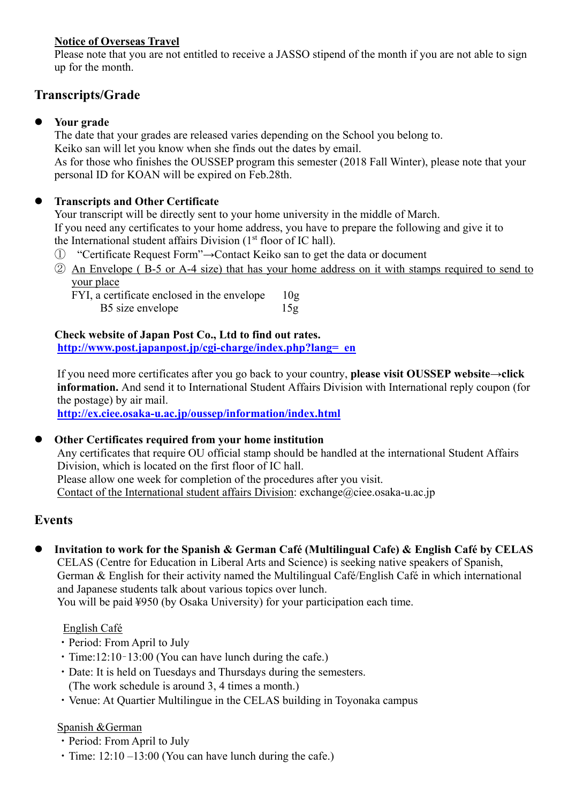## **Notice of Overseas Travel**

Please note that you are not entitled to receive a JASSO stipend of the month if you are not able to sign up for the month.

# **Transcripts/Grade**

### **Your grade**

The date that your grades are released varies depending on the School you belong to. Keiko san will let you know when she finds out the dates by email. As for those who finishes the OUSSEP program this semester (2018 Fall Winter), please note that your personal ID for KOAN will be expired on Feb.28th.

## **Transcripts and Other Certificate**

Your transcript will be directly sent to your home university in the middle of March. If you need any certificates to your home address, you have to prepare the following and give it to the International student affairs Division  $(1<sup>st</sup>$  floor of IC hall).

- ① "Certificate Request Form"→Contact Keiko san to get the data or document
- ② An Envelope ( B-5 or A-4 size) that has your home address on it with stamps required to send to your place

FYI, a certificate enclosed in the envelope 10g B5 size envelope 15g

**Check website of Japan Post Co., Ltd to find out rates. http://www.post.japanpost.jp/cgi-charge/index.php?lang=\_en**

If you need more certificates after you go back to your country, **please visit OUSSEP website→click information.** And send it to International Student Affairs Division with International reply coupon (for the postage) by air mail.

**http://ex.ciee.osaka-u.ac.jp/oussep/information/index.html**

#### **Other Certificates required from your home institution**

Any certificates that require OU official stamp should be handled at the international Student Affairs Division, which is located on the first floor of IC hall. Please allow one week for completion of the procedures after you visit. Contact of the International student affairs Division: exchange@ciee.osaka-u.ac.jp

## **Events**

 **Invitation to work for the Spanish & German Café (Multilingual Cafe) & English Café by CELAS** CELAS (Centre for Education in Liberal Arts and Science) is seeking native speakers of Spanish, German & English for their activity named the Multilingual Café/English Café in which international and Japanese students talk about various topics over lunch.

You will be paid ¥950 (by Osaka University) for your participation each time.

#### English Café

- ・Period: From April to July
- ・Time:12:10–13:00 (You can have lunch during the cafe.)
- ・Date: It is held on Tuesdays and Thursdays during the semesters. (The work schedule is around 3, 4 times a month.)
- ・Venue: At Quartier Multilingue in the CELAS building in Toyonaka campus

#### Spanish &German

- ・Period: From April to July
- $\cdot$  Time: 12:10 –13:00 (You can have lunch during the cafe.)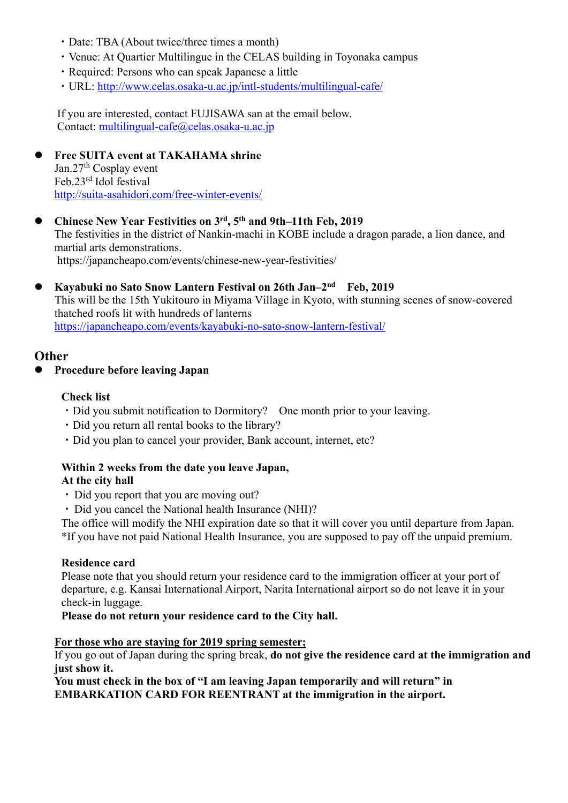- ・Date: TBA (About twice/three times a month)
- ・Venue: At Quartier Multilingue in the CELAS building in Toyonaka campus
- ・Required: Persons who can speak Japanese a little
- ・URL: http://www.celas.osaka-u.ac.jp/intl-students/multilingual-cafe/

If you are interested, contact FUJISAWA san at the email below. Contact: multilingual-cafe@celas.osaka-u.ac.jp

#### **Free SUITA event at TAKAHAMA shrine**  Jan.27<sup>th</sup> Cosplay event Feb.23rd Idol festival http://suita-asahidori.com/free-winter-events/

- **Chinese New Year Festivities on 3rd, 5th and 9th–11th Feb, 2019**  The festivities in the district of Nankin-machi in KOBE include a dragon parade, a lion dance, and martial arts demonstrations. https://japancheapo.com/events/chinese-new-year-festivities/
- **Kayabuki no Sato Snow Lantern Festival on 26th Jan–2nd Feb, 2019**  This will be the 15th Yukitouro in Miyama Village in Kyoto, with stunning scenes of snow-covered thatched roofs lit with hundreds of lanterns https://japancheapo.com/events/kayabuki-no-sato-snow-lantern-festival/

#### **Other**

#### **Procedure before leaving Japan**

#### **Check list**

- Did you submit notification to Dormitory? One month prior to your leaving.
- ・Did you return all rental books to the library?
- ・Did you plan to cancel your provider, Bank account, internet, etc?

#### **Within 2 weeks from the date you leave Japan, At the city hall**

- Did you report that you are moving out?
- ・ Did you cancel the National health Insurance (NHI)?

The office will modify the NHI expiration date so that it will cover you until departure from Japan. \*If you have not paid National Health Insurance, you are supposed to pay off the unpaid premium.

#### **Residence card**

Please note that you should return your residence card to the immigration officer at your port of departure, e.g. Kansai International Airport, Narita International airport so do not leave it in your check-in luggage.

**Please do not return your residence card to the City hall.** 

#### **For those who are staying for 2019 spring semester;**

If you go out of Japan during the spring break, **do not give the residence card at the immigration and just show it.** 

**You must check in the box of "I am leaving Japan temporarily and will return" in EMBARKATION CARD FOR REENTRANT at the immigration in the airport.**